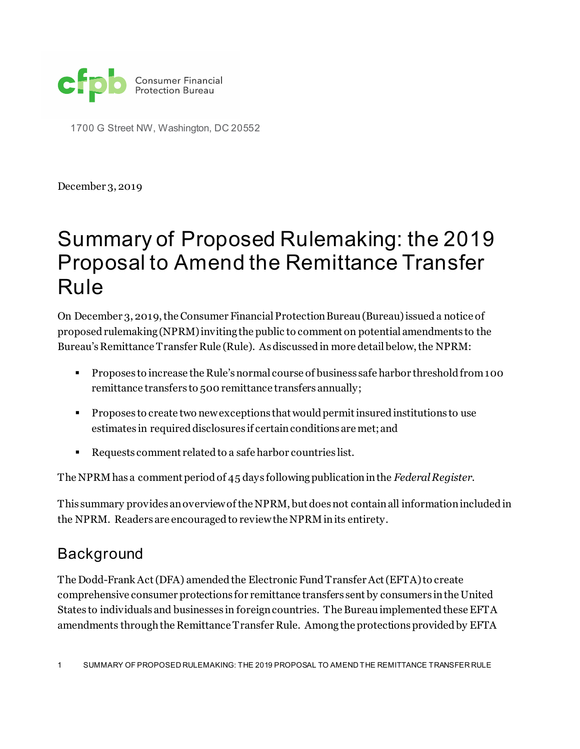

1700 G Street NW, Washington, DC 20552

December 3, 2019

# Summary of Proposed Rulemaking: the 2019 Proposal to Amend the Remittance Transfer Rule

On December 3, 2019, the Consumer Financial Protection Bureau (Bureau) issued a notice of proposed rulemaking (NPRM) inviting the public to comment on potential amendments to the Bureau's Remittance Transfer Rule (Rule). As discussed in more detail below, the NPRM:

- **Proposes to increase the Rule's normal course of business safe harbor threshold from 100** remittance transfers to 500 remittance transfers annually;
- Proposes to create two new exceptions that would permit insured institutions to use estimates in required disclosures if certain conditions are met;and
- Requests comment related to a safe harbor countries list.

The NPRM has a comment period of 45 days following publication in the *Federal Register*.

This summary provides an overview of the NPRM, but does not contain all informationincluded in the NPRM. Readers are encouraged to review the NPRM in its entirety.

#### Background

The Dodd-Frank Act (DFA) amended the Electronic Fund Transfer Act (EFTA) to create comprehensive consumer protections for remittance transfers sent by consumers in the United States to individuals and businesses in foreign countries. The Bureau implemented these EFTA amendments through the Remittance Transfer Rule. Among the protections provided by EFTA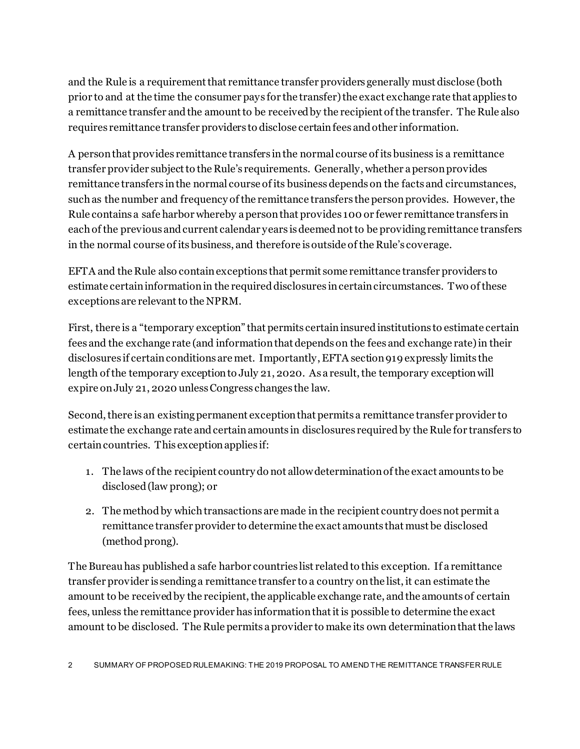and the Rule is a requirementthat remittance transfer providers generally must disclose (both prior to and at the time the consumer pays for the transfer) the exact exchange rate that applies to a remittance transfer and the amount to be received by the recipient of the transfer. The Rule also requires remittance transfer providers to disclose certain fees and other information.

A person that provides remittance transfers in the normal course of its business is a remittance transfer provider subject to the Rule's requirements. Generally, whether a person provides remittance transfers in the normal course of its business depends on the facts and circumstances, such as the number and frequency of the remittance transfers the person provides. However, the Rule contains a safe harbor whereby a person that provides 100 or fewer remittance transfers in each of the previous and current calendar years isdeemed not to be providing remittance transfers in the normal course of its business, and therefore is outside of the Rule's coverage.

EFTA and the Rule also contain exceptions that permit some remittance transfer providers to estimate certain information in the required disclosures in certain circumstances. Two of these exceptions are relevant to the NPRM.

First, there is a "temporary exception" that permits certain insured institutions to estimate certain fees and the exchange rate (and information that depends on the fees and exchange rate) in their disclosures if certain conditions are met. Importantly, EFTA section 919 expressly limits the length of the temporary exception to July 21, 2020. As a result, the temporary exception will expire on July 21, 2020 unless Congress changes the law.

Second, there is an existingpermanent exception that permits a remittance transfer provider to estimate the exchange rate and certain amounts in disclosures required by the Rule for transfers to certain countries. This exception applies if:

- 1. The laws of the recipient country do not allowdeterminationof the exact amounts to be disclosed(law prong); or
- 2. The method by which transactions are made in the recipient country does not permit a remittance transfer provider to determine the exact amounts that must be disclosed (method prong).

The Bureau has publisheda safe harbor countries list related to this exception. If a remittance transfer provider is sending a remittance transfer to a country on the list, it can estimate the amount to be received by the recipient, the applicable exchange rate, and the amounts of certain fees, unless the remittance provider has information that it is possible to determine the exact amount to be disclosed. The Rule permits a provider to make its own determination that the laws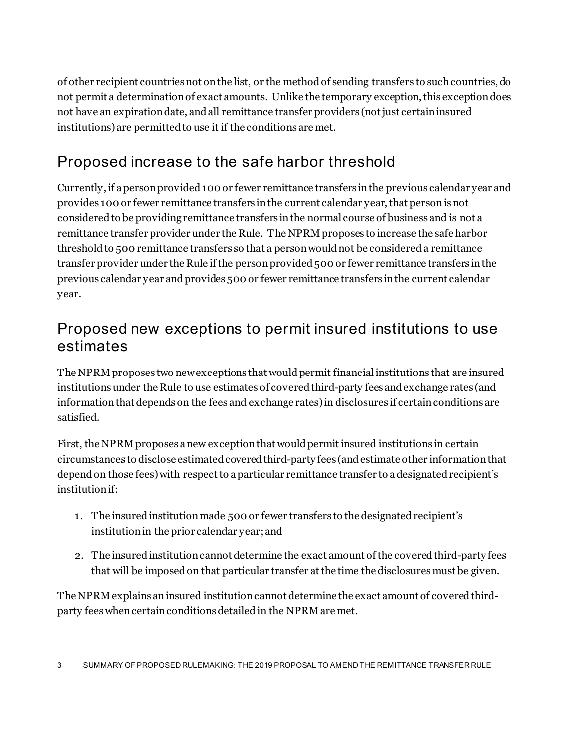of other recipient countries not on the list, or the method of sending transfers to such countries, do not permit a determination of exact amounts. Unlike the temporary exception, this exception does not have an expiration date, and all remittance transfer providers (not just certain insured institutions) are permitted to use it if the conditions are met.

## Proposed increase to the safe harbor threshold

Currently, if a person provided 100 or fewer remittance transfers in the previous calendar year and provides 100 or fewer remittance transfers in the current calendar year, that person is not consideredto be providing remittance transfers in the normal course of business and is not a remittance transfer provider under the Rule. The NPRM proposes to increase the safe harbor threshold to 500 remittance transfers so that a person would not be considereda remittance transfer provider under the Rule if the person provided 500 or fewer remittance transfers in the previous calendar year and provides 500 or fewer remittance transfers in the current calendar year.

### Proposed new exceptions to permit insured institutions to use estimates

The NPRM proposes two new exceptions that would permit financial institutions that are insured institutionsunder the Rule to use estimates of covered third-party fees and exchange rates (and information that depends on the fees and exchange rates) in disclosures if certain conditions are satisfied.

First, the NPRM proposes anew exception that would permit insured institutions in certain circumstances to disclose estimatedcovered third-party fees (andestimate other information that depend on those fees) with respect to a particular remittance transfer to a designated recipient's institution if:

- 1. The insuredinstitution made 500 or fewer transfers to the designated recipient's institutionin the prior calendar year; and
- 2. The insured institutioncannot determine the exact amount of the covered third-party fees that will be imposed on that particular transfer at the time the disclosures must be given.

The NPRM explains an insured institution cannot determine the exact amount of covered thirdparty fees when certain conditions detailed in the NPRM are met.